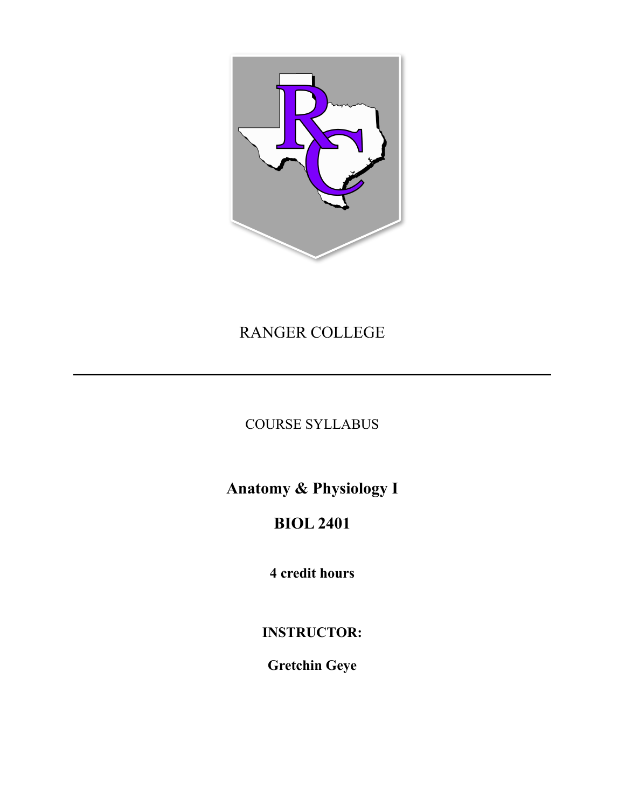

# RANGER COLLEGE

## COURSE SYLLABUS

**Anatomy & Physiology I** 

# **BIOL 2401**

**4 credit hours**

## **INSTRUCTOR:**

**Gretchin Geye**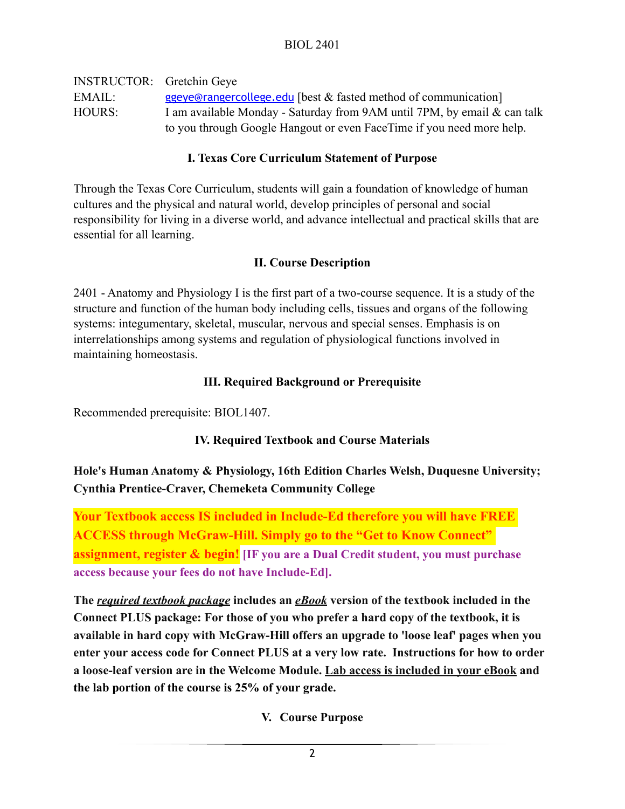INSTRUCTOR: Gretchin Geye EMAIL: [ggeye@rangercollege.edu](mailto:ggeye@rangercollege.edu) [best & fasted method of communication] HOURS: I am available Monday - Saturday from 9AM until 7PM, by email & can talk to you through Google Hangout or even FaceTime if you need more help.

#### **I. Texas Core Curriculum Statement of Purpose**

Through the Texas Core Curriculum, students will gain a foundation of knowledge of human cultures and the physical and natural world, develop principles of personal and social responsibility for living in a diverse world, and advance intellectual and practical skills that are essential for all learning.

### **II. Course Description**

2401 - Anatomy and Physiology I is the first part of a two-course sequence. It is a study of the structure and function of the human body including cells, tissues and organs of the following systems: integumentary, skeletal, muscular, nervous and special senses. Emphasis is on interrelationships among systems and regulation of physiological functions involved in maintaining homeostasis.

#### **III. Required Background or Prerequisite**

Recommended prerequisite: BIOL1407.

## **IV. Required Textbook and Course Materials**

## **Hole's Human Anatomy & Physiology, 16th Edition Charles Welsh, Duquesne University; Cynthia Prentice-Craver, Chemeketa Community College**

**Your Textbook access IS included in Include-Ed therefore you will have FREE ACCESS through McGraw-Hill. Simply go to the "Get to Know Connect" assignment, register & begin! [IF you are a Dual Credit student, you must purchase access because your fees do not have Include-Ed].**

**The** *required textbook package* **includes an** *eBook* **version of the textbook included in the Connect PLUS package: For those of you who prefer a hard copy of the textbook, it is available in hard copy with McGraw-Hill offers an upgrade to 'loose leaf' pages when you enter your access code for Connect PLUS at a very low rate. Instructions for how to order a loose-leaf version are in the Welcome Module. Lab access is included in your eBook and the lab portion of the course is 25% of your grade.**

## **V. Course Purpose**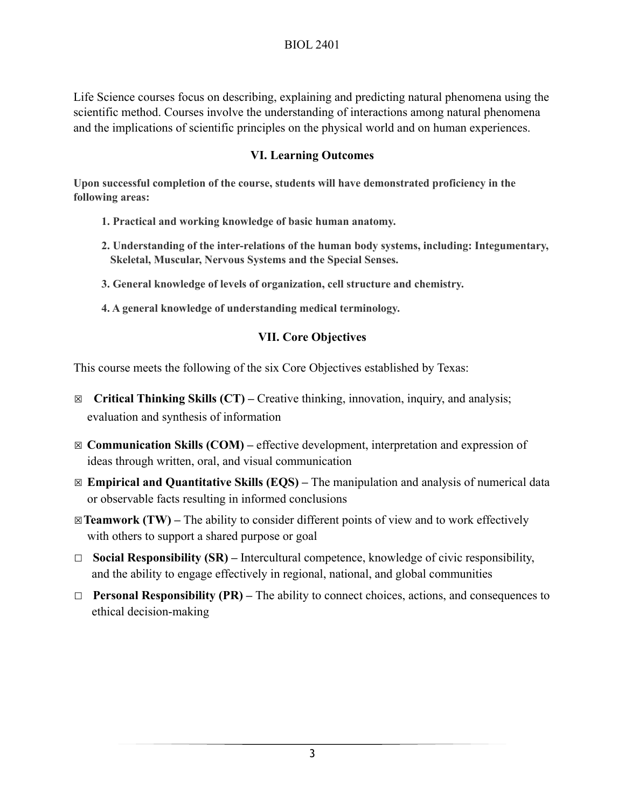Life Science courses focus on describing, explaining and predicting natural phenomena using the scientific method. Courses involve the understanding of interactions among natural phenomena and the implications of scientific principles on the physical world and on human experiences.

#### **VI. Learning Outcomes**

**Upon successful completion of the course, students will have demonstrated proficiency in the following areas:**

- **1. Practical and working knowledge of basic human anatomy.**
- **2. Understanding of the inter-relations of the human body systems, including: Integumentary, Skeletal, Muscular, Nervous Systems and the Special Senses.**
- **3. General knowledge of levels of organization, cell structure and chemistry.**
- **4. A general knowledge of understanding medical terminology.**

#### **VII. Core Objectives**

This course meets the following of the six Core Objectives established by Texas:

- ☒ **Critical Thinking Skills (CT)** Creative thinking, innovation, inquiry, and analysis; evaluation and synthesis of information
- ☒ **Communication Skills (COM)** effective development, interpretation and expression of ideas through written, oral, and visual communication
- ☒ **Empirical and Quantitative Skills (EQS)** The manipulation and analysis of numerical data or observable facts resulting in informed conclusions
- ☒**Teamwork (TW)** The ability to consider different points of view and to work effectively with others to support a shared purpose or goal
- ☐ **Social Responsibility (SR)** Intercultural competence, knowledge of civic responsibility, and the ability to engage effectively in regional, national, and global communities
- ☐ **Personal Responsibility (PR)** The ability to connect choices, actions, and consequences to ethical decision-making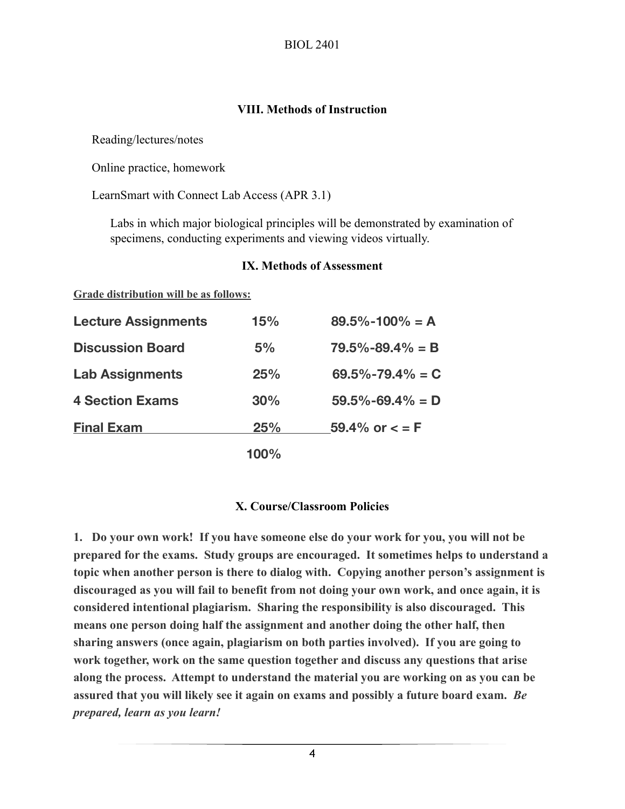#### **VIII. Methods of Instruction**

Reading/lectures/notes

Online practice, homework

**Grade distribution will be as follows:**

LearnSmart with Connect Lab Access (APR 3.1)

Labs in which major biological principles will be demonstrated by examination of specimens, conducting experiments and viewing videos virtually.

| <b>Lecture Assignments</b> | 15% | $89.5\% - 100\% = A$  |  |
|----------------------------|-----|-----------------------|--|
| <b>Discussion Board</b>    | 5%  | $79.5\% - 89.4\% = B$ |  |
| <b>Lab Assignments</b>     | 25% | $69.5\% - 79.4\% = C$ |  |
| <b>4 Section Exams</b>     | 30% | $59.5\% - 69.4\% = D$ |  |
| <b>Final Exam</b>          | 25% | 59.4% or $\lt$ = F    |  |
|                            |     |                       |  |

 **100%** 

#### **IX. Methods of Assessment**

**X. Course/Classroom Policies**

**1. Do your own work! If you have someone else do your work for you, you will not be prepared for the exams. Study groups are encouraged. It sometimes helps to understand a topic when another person is there to dialog with. Copying another person's assignment is discouraged as you will fail to benefit from not doing your own work, and once again, it is considered intentional plagiarism. Sharing the responsibility is also discouraged. This means one person doing half the assignment and another doing the other half, then sharing answers (once again, plagiarism on both parties involved). If you are going to work together, work on the same question together and discuss any questions that arise along the process. Attempt to understand the material you are working on as you can be assured that you will likely see it again on exams and possibly a future board exam.** *Be prepared, learn as you learn!*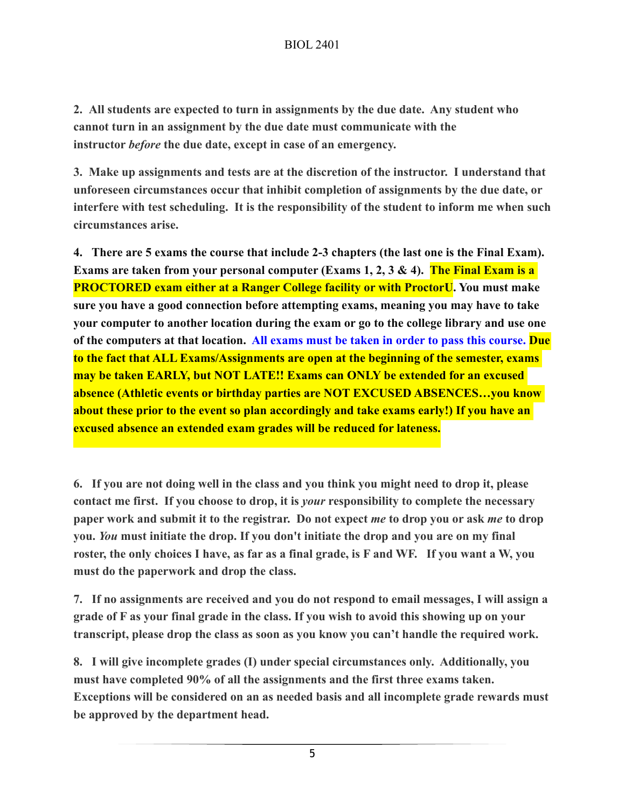**2. All students are expected to turn in assignments by the due date. Any student who cannot turn in an assignment by the due date must communicate with the instructor** *before* **the due date, except in case of an emergency.**

**3. Make up assignments and tests are at the discretion of the instructor. I understand that unforeseen circumstances occur that inhibit completion of assignments by the due date, or interfere with test scheduling. It is the responsibility of the student to inform me when such circumstances arise.** 

**4. There are 5 exams the course that include 2-3 chapters (the last one is the Final Exam). Exams are taken from your personal computer (Exams 1, 2, 3 & 4). The Final Exam is a PROCTORED exam either at a Ranger College facility or with ProctorU. You must make sure you have a good connection before attempting exams, meaning you may have to take your computer to another location during the exam or go to the college library and use one of the computers at that location. All exams must be taken in order to pass this course. Due to the fact that ALL Exams/Assignments are open at the beginning of the semester, exams may be taken EARLY, but NOT LATE!! Exams can ONLY be extended for an excused absence (Athletic events or birthday parties are NOT EXCUSED ABSENCES…you know about these prior to the event so plan accordingly and take exams early!) If you have an excused absence an extended exam grades will be reduced for lateness.**

**6. If you are not doing well in the class and you think you might need to drop it, please contact me first. If you choose to drop, it is** *your* **responsibility to complete the necessary paper work and submit it to the registrar. Do not expect** *me* **to drop you or ask** *me* **to drop you.** *You* **must initiate the drop. If you don't initiate the drop and you are on my final roster, the only choices I have, as far as a final grade, is F and WF. If you want a W, you must do the paperwork and drop the class.**

**7. If no assignments are received and you do not respond to email messages, I will assign a grade of F as your final grade in the class. If you wish to avoid this showing up on your transcript, please drop the class as soon as you know you can't handle the required work.**

**8. I will give incomplete grades (I) under special circumstances only. Additionally, you must have completed 90% of all the assignments and the first three exams taken. Exceptions will be considered on an as needed basis and all incomplete grade rewards must be approved by the department head.**

5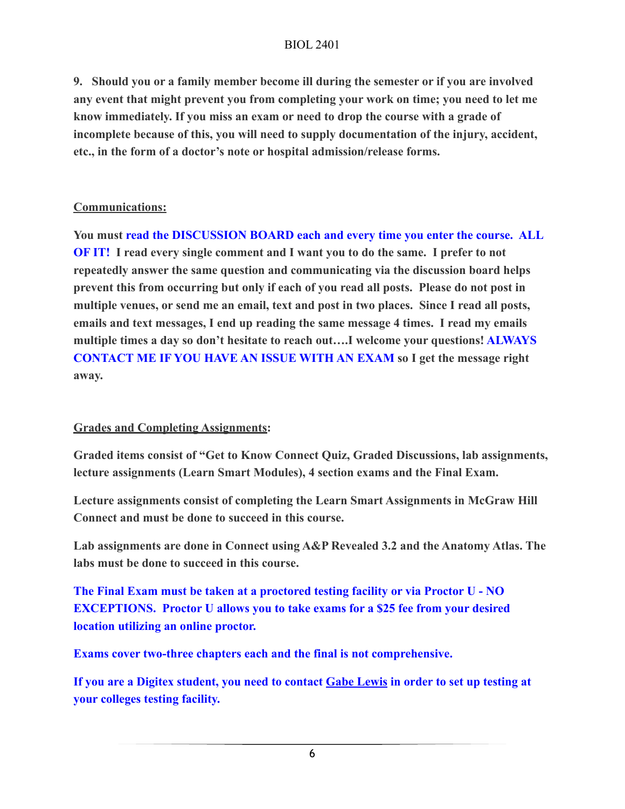#### BIOL 2401

**9. Should you or a family member become ill during the semester or if you are involved any event that might prevent you from completing your work on time; you need to let me know immediately. If you miss an exam or need to drop the course with a grade of incomplete because of this, you will need to supply documentation of the injury, accident, etc., in the form of a doctor's note or hospital admission/release forms.** 

#### **Communications:**

**You must read the DISCUSSION BOARD each and every time you enter the course. ALL OF IT! I read every single comment and I want you to do the same. I prefer to not repeatedly answer the same question and communicating via the discussion board helps prevent this from occurring but only if each of you read all posts. Please do not post in multiple venues, or send me an email, text and post in two places. Since I read all posts, emails and text messages, I end up reading the same message 4 times. I read my emails multiple times a day so don't hesitate to reach out….I welcome your questions! ALWAYS CONTACT ME IF YOU HAVE AN ISSUE WITH AN EXAM so I get the message right away.** 

#### **Grades and Completing Assignments:**

**Graded items consist of "Get to Know Connect Quiz, Graded Discussions, lab assignments, lecture assignments (Learn Smart Modules), 4 section exams and the Final Exam.** 

**Lecture assignments consist of completing the Learn Smart Assignments in McGraw Hill Connect and must be done to succeed in this course.**

**Lab assignments are done in Connect using A&P Revealed 3.2 and the Anatomy Atlas. The labs must be done to succeed in this course.**

**The Final Exam must be taken at a proctored testing facility or via Proctor U - NO EXCEPTIONS. Proctor U allows you to take exams for a \$25 fee from your desired location utilizing an online proctor.** 

**Exams cover two-three chapters each and the final is not comprehensive.** 

**If you are a Digitex student, you need to contact [Gabe Lewis](mailto:glewis@rangercollege.edu) in order to set up testing at your colleges testing facility.**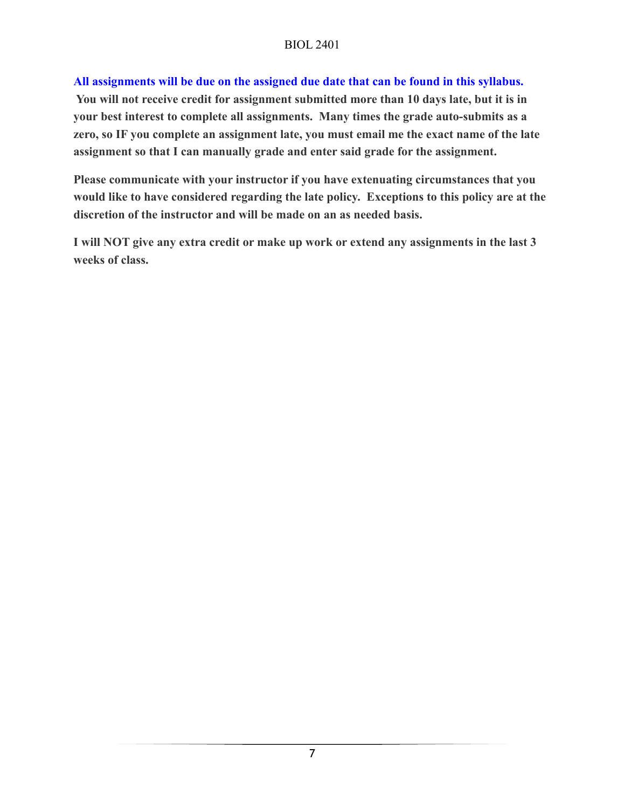#### **All assignments will be due on the assigned due date that can be found in this syllabus.**

 **You will not receive credit for assignment submitted more than 10 days late, but it is in your best interest to complete all assignments. Many times the grade auto-submits as a zero, so IF you complete an assignment late, you must email me the exact name of the late assignment so that I can manually grade and enter said grade for the assignment.**

**Please communicate with your instructor if you have extenuating circumstances that you would like to have considered regarding the late policy. Exceptions to this policy are at the discretion of the instructor and will be made on an as needed basis.**

**I will NOT give any extra credit or make up work or extend any assignments in the last 3 weeks of class.**